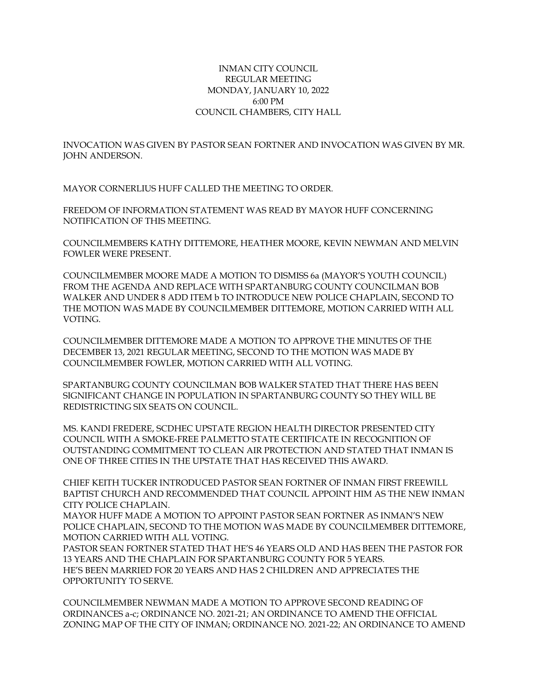## INMAN CITY COUNCIL REGULAR MEETING MONDAY, JANUARY 10, 2022 6:00 PM COUNCIL CHAMBERS, CITY HALL

INVOCATION WAS GIVEN BY PASTOR SEAN FORTNER AND INVOCATION WAS GIVEN BY MR. JOHN ANDERSON.

MAYOR CORNERLIUS HUFF CALLED THE MEETING TO ORDER.

FREEDOM OF INFORMATION STATEMENT WAS READ BY MAYOR HUFF CONCERNING NOTIFICATION OF THIS MEETING.

COUNCILMEMBERS KATHY DITTEMORE, HEATHER MOORE, KEVIN NEWMAN AND MELVIN FOWLER WERE PRESENT.

COUNCILMEMBER MOORE MADE A MOTION TO DISMISS 6a (MAYOR'S YOUTH COUNCIL) FROM THE AGENDA AND REPLACE WITH SPARTANBURG COUNTY COUNCILMAN BOB WALKER AND UNDER 8 ADD ITEM b TO INTRODUCE NEW POLICE CHAPLAIN, SECOND TO THE MOTION WAS MADE BY COUNCILMEMBER DITTEMORE, MOTION CARRIED WITH ALL VOTING.

COUNCILMEMBER DITTEMORE MADE A MOTION TO APPROVE THE MINUTES OF THE DECEMBER 13, 2021 REGULAR MEETING, SECOND TO THE MOTION WAS MADE BY COUNCILMEMBER FOWLER, MOTION CARRIED WITH ALL VOTING.

SPARTANBURG COUNTY COUNCILMAN BOB WALKER STATED THAT THERE HAS BEEN SIGNIFICANT CHANGE IN POPULATION IN SPARTANBURG COUNTY SO THEY WILL BE REDISTRICTING SIX SEATS ON COUNCIL.

MS. KANDI FREDERE, SCDHEC UPSTATE REGION HEALTH DIRECTOR PRESENTED CITY COUNCIL WITH A SMOKE-FREE PALMETTO STATE CERTIFICATE IN RECOGNITION OF OUTSTANDING COMMITMENT TO CLEAN AIR PROTECTION AND STATED THAT INMAN IS ONE OF THREE CITIES IN THE UPSTATE THAT HAS RECEIVED THIS AWARD.

CHIEF KEITH TUCKER INTRODUCED PASTOR SEAN FORTNER OF INMAN FIRST FREEWILL BAPTIST CHURCH AND RECOMMENDED THAT COUNCIL APPOINT HIM AS THE NEW INMAN CITY POLICE CHAPLAIN.

MAYOR HUFF MADE A MOTION TO APPOINT PASTOR SEAN FORTNER AS INMAN'S NEW POLICE CHAPLAIN, SECOND TO THE MOTION WAS MADE BY COUNCILMEMBER DITTEMORE, MOTION CARRIED WITH ALL VOTING.

PASTOR SEAN FORTNER STATED THAT HE'S 46 YEARS OLD AND HAS BEEN THE PASTOR FOR 13 YEARS AND THE CHAPLAIN FOR SPARTANBURG COUNTY FOR 5 YEARS. HE'S BEEN MARRIED FOR 20 YEARS AND HAS 2 CHILDREN AND APPRECIATES THE OPPORTUNITY TO SERVE.

COUNCILMEMBER NEWMAN MADE A MOTION TO APPROVE SECOND READING OF ORDINANCES a-c; ORDINANCE NO. 2021-21; AN ORDINANCE TO AMEND THE OFFICIAL ZONING MAP OF THE CITY OF INMAN; ORDINANCE NO. 2021-22; AN ORDINANCE TO AMEND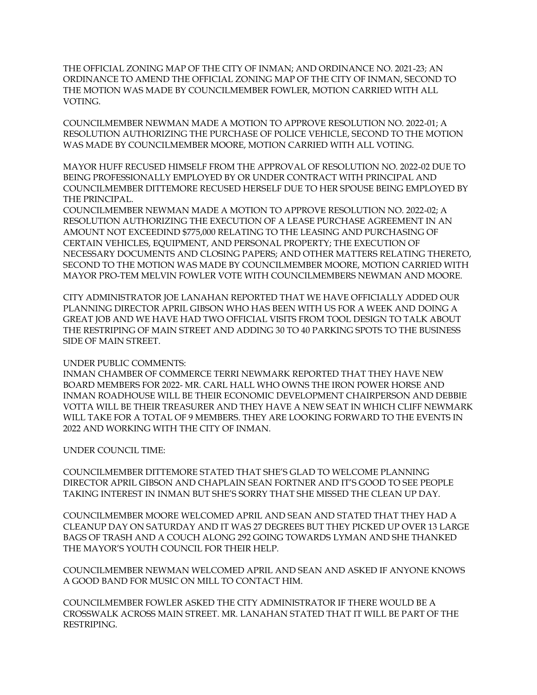THE OFFICIAL ZONING MAP OF THE CITY OF INMAN; AND ORDINANCE NO. 2021-23; AN ORDINANCE TO AMEND THE OFFICIAL ZONING MAP OF THE CITY OF INMAN, SECOND TO THE MOTION WAS MADE BY COUNCILMEMBER FOWLER, MOTION CARRIED WITH ALL VOTING.

COUNCILMEMBER NEWMAN MADE A MOTION TO APPROVE RESOLUTION NO. 2022-01; A RESOLUTION AUTHORIZING THE PURCHASE OF POLICE VEHICLE, SECOND TO THE MOTION WAS MADE BY COUNCILMEMBER MOORE, MOTION CARRIED WITH ALL VOTING.

MAYOR HUFF RECUSED HIMSELF FROM THE APPROVAL OF RESOLUTION NO. 2022-02 DUE TO BEING PROFESSIONALLY EMPLOYED BY OR UNDER CONTRACT WITH PRINCIPAL AND COUNCILMEMBER DITTEMORE RECUSED HERSELF DUE TO HER SPOUSE BEING EMPLOYED BY THE PRINCIPAL.

COUNCILMEMBER NEWMAN MADE A MOTION TO APPROVE RESOLUTION NO. 2022-02; A RESOLUTION AUTHORIZING THE EXECUTION OF A LEASE PURCHASE AGREEMENT IN AN AMOUNT NOT EXCEEDIND \$775,000 RELATING TO THE LEASING AND PURCHASING OF CERTAIN VEHICLES, EQUIPMENT, AND PERSONAL PROPERTY; THE EXECUTION OF NECESSARY DOCUMENTS AND CLOSING PAPERS; AND OTHER MATTERS RELATING THERETO, SECOND TO THE MOTION WAS MADE BY COUNCILMEMBER MOORE, MOTION CARRIED WITH MAYOR PRO-TEM MELVIN FOWLER VOTE WITH COUNCILMEMBERS NEWMAN AND MOORE.

CITY ADMINISTRATOR JOE LANAHAN REPORTED THAT WE HAVE OFFICIALLY ADDED OUR PLANNING DIRECTOR APRIL GIBSON WHO HAS BEEN WITH US FOR A WEEK AND DOING A GREAT JOB AND WE HAVE HAD TWO OFFICIAL VISITS FROM TOOL DESIGN TO TALK ABOUT THE RESTRIPING OF MAIN STREET AND ADDING 30 TO 40 PARKING SPOTS TO THE BUSINESS SIDE OF MAIN STREET.

## UNDER PUBLIC COMMENTS:

INMAN CHAMBER OF COMMERCE TERRI NEWMARK REPORTED THAT THEY HAVE NEW BOARD MEMBERS FOR 2022- MR. CARL HALL WHO OWNS THE IRON POWER HORSE AND INMAN ROADHOUSE WILL BE THEIR ECONOMIC DEVELOPMENT CHAIRPERSON AND DEBBIE VOTTA WILL BE THEIR TREASURER AND THEY HAVE A NEW SEAT IN WHICH CLIFF NEWMARK WILL TAKE FOR A TOTAL OF 9 MEMBERS. THEY ARE LOOKING FORWARD TO THE EVENTS IN 2022 AND WORKING WITH THE CITY OF INMAN.

UNDER COUNCIL TIME:

COUNCILMEMBER DITTEMORE STATED THAT SHE'S GLAD TO WELCOME PLANNING DIRECTOR APRIL GIBSON AND CHAPLAIN SEAN FORTNER AND IT'S GOOD TO SEE PEOPLE TAKING INTEREST IN INMAN BUT SHE'S SORRY THAT SHE MISSED THE CLEAN UP DAY.

COUNCILMEMBER MOORE WELCOMED APRIL AND SEAN AND STATED THAT THEY HAD A CLEANUP DAY ON SATURDAY AND IT WAS 27 DEGREES BUT THEY PICKED UP OVER 13 LARGE BAGS OF TRASH AND A COUCH ALONG 292 GOING TOWARDS LYMAN AND SHE THANKED THE MAYOR'S YOUTH COUNCIL FOR THEIR HELP.

COUNCILMEMBER NEWMAN WELCOMED APRIL AND SEAN AND ASKED IF ANYONE KNOWS A GOOD BAND FOR MUSIC ON MILL TO CONTACT HIM.

COUNCILMEMBER FOWLER ASKED THE CITY ADMINISTRATOR IF THERE WOULD BE A CROSSWALK ACROSS MAIN STREET. MR. LANAHAN STATED THAT IT WILL BE PART OF THE RESTRIPING.